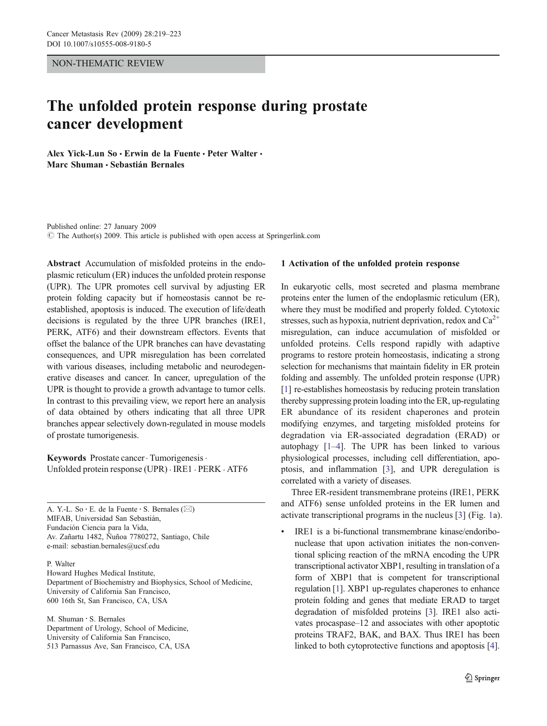#### NON-THEMATIC REVIEW

# The unfolded protein response during prostate cancer development

Alex Yick-Lun So · Erwin de la Fuente · Peter Walter · Marc Shuman · Sebastián Bernales

Published online: 27 January 2009  $\circ$  The Author(s) 2009. This article is published with open access at Springerlink.com

Abstract Accumulation of misfolded proteins in the endoplasmic reticulum (ER) induces the unfolded protein response (UPR). The UPR promotes cell survival by adjusting ER protein folding capacity but if homeostasis cannot be reestablished, apoptosis is induced. The execution of life/death decisions is regulated by the three UPR branches (IRE1, PERK, ATF6) and their downstream effectors. Events that offset the balance of the UPR branches can have devastating consequences, and UPR misregulation has been correlated with various diseases, including metabolic and neurodegenerative diseases and cancer. In cancer, upregulation of the UPR is thought to provide a growth advantage to tumor cells. In contrast to this prevailing view, we report here an analysis of data obtained by others indicating that all three UPR branches appear selectively down-regulated in mouse models of prostate tumorigenesis.

Keywords Prostate cancer. Tumorigenesis. Unfolded protein response (UPR) . IRE1 . PERK . ATF6

A. Y.-L. So · E. de la Fuente · S. Bernales ( $\boxtimes$ ) MIFAB, Universidad San Sebastián, Fundación Ciencia para la Vida, Av. Zañartu 1482, Ñuñoa 7780272, Santiago, Chile e-mail: sebastian.bernales@ucsf.edu

P. Walter Howard Hughes Medical Institute, Department of Biochemistry and Biophysics, School of Medicine, University of California San Francisco, 600 16th St, San Francisco, CA, USA

M. Shuman : S. Bernales Department of Urology, School of Medicine, University of California San Francisco, 513 Parnassus Ave, San Francisco, CA, USA

#### 1 Activation of the unfolded protein response

In eukaryotic cells, most secreted and plasma membrane proteins enter the lumen of the endoplasmic reticulum (ER), where they must be modified and properly folded. Cytotoxic stresses, such as hypoxia, nutrient deprivation, redox and  $Ca^{2+}$ misregulation, can induce accumulation of misfolded or unfolded proteins. Cells respond rapidly with adaptive programs to restore protein homeostasis, indicating a strong selection for mechanisms that maintain fidelity in ER protein folding and assembly. The unfolded protein response (UPR) [\[1](#page-4-0)] re-establishes homeostasis by reducing protein translation thereby suppressing protein loading into the ER, up-regulating ER abundance of its resident chaperones and protein modifying enzymes, and targeting misfolded proteins for degradation via ER-associated degradation (ERAD) or autophagy [\[1](#page-4-0)–[4\]](#page-4-0). The UPR has been linked to various physiological processes, including cell differentiation, apoptosis, and inflammation [[3\]](#page-4-0), and UPR deregulation is correlated with a variety of diseases.

Three ER-resident transmembrane proteins (IRE1, PERK and ATF6) sense unfolded proteins in the ER lumen and activate transcriptional programs in the nucleus [[3\]](#page-4-0) (Fig. [1](#page-1-0)a).

IRE1 is a bi-functional transmembrane kinase/endoribonuclease that upon activation initiates the non-conventional splicing reaction of the mRNA encoding the UPR transcriptional activator XBP1, resulting in translation of a form of XBP1 that is competent for transcriptional regulation [\[1](#page-4-0)]. XBP1 up-regulates chaperones to enhance protein folding and genes that mediate ERAD to target degradation of misfolded proteins [[3](#page-4-0)]. IRE1 also activates procaspase–12 and associates with other apoptotic proteins TRAF2, BAK, and BAX. Thus IRE1 has been linked to both cytoprotective functions and apoptosis [[4\]](#page-4-0).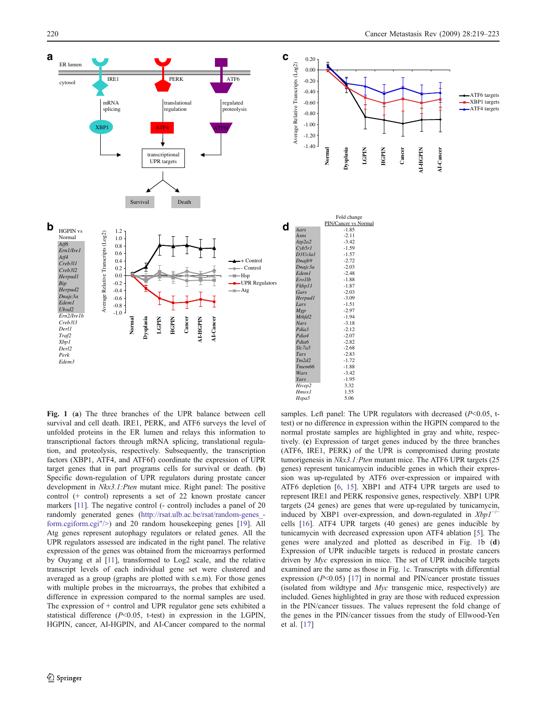**Normal**

**Dysplasia**

Fold change PIN/Cancer vs Normal<br>-1.85

*Asns* -2.11

**LGPIN HGPIN** **Cancer**

**AI-HGPIN**

**NI-HGPIN** 

**AI-Cancer**

AI-Cancer

ATF6 targets  $\overline{-}$ XBP1 targets -ATF4 targets

<span id="page-1-0"></span>

*Fkbp11* -1.87 *Gars* -2.03<br> *Herpud1* -3.09 *Lars* -1.51 *Mgp* -2.97 *Mthfd2* -1.94 *Nars* -3.18<br> *Pdia3* -2.12 *Pdia3* -2.12<br>*Pdia4* -2.07 *Pdia4* -2.07<br>*Pdia6* -2.82 *Pdia6* -2.82<br>*Slc7a5* -2.68 *Slc7a5* -2.68<br> *Tars* -2.83 *Tars* -2.83 *Tm2d2* -1.72 *Tmem66* -1.88<br>*Wars* -3.42 *Yars* -1.95 *Hivep2* 3.32<br>*Hmox1* 1.55 *Hmox1* 1.55<br>*Hspa5* 5.06  $H$ *spa<sup>5</sup>* samples. Left panel: The UPR regulators with decreased  $(P<0.05$ , ttest) or no difference in expression within the HGPIN compared to the normal prostate samples are highlighted in gray and white, respectively. (c) Expression of target genes induced by the three branches (ATF6, IRE1, PERK) of the UPR is compromised during prostate tumorigenesis in Nkx3.1:Pten mutant mice. The ATF6 UPR targets (25 genes) represent tunicamycin inducible genes in which their expression was up-regulated by ATF6 over-expression or impaired with ATF6 depletion [\[6](#page-4-0), [15\]](#page-4-0). XBP1 and ATF4 UPR targets are used to represent IRE1 and PERK responsive genes, respectively. XBP1 UPR targets (24 genes) are genes that were up-regulated by tunicamycin, induced by XBP1 over-expression, and down-regulated in Xbp1<sup>†</sup> cells [[16](#page-4-0)]. ATF4 UPR targets (40 genes) are genes inducible by tunicamycin with decreased expression upon ATF4 ablation [[5](#page-4-0)]. The genes were analyzed and plotted as described in Fig. 1b (d) Expression of UPR inducible targets is reduced in prostate cancers driven by Myc expression in mice. The set of UPR inducible targets examined are the same as those in Fig. 1c. Transcripts with differential expression  $(P<0.05)$  [\[17\]](#page-4-0) in normal and PIN/cancer prostate tissues (isolated from wildtype and Myc transgenic mice, respectively) are included. Genes highlighted in gray are those with reduced expression in the PIN/cancer tissues. The values represent the fold change of the genes in the PIN/cancer tissues from the study of Ellwood-Yen et al. [\[17\]](#page-4-0)

Fig. 1 (a) The three branches of the UPR balance between cell survival and cell death. IRE1, PERK, and ATF6 surveys the level of unfolded proteins in the ER lumen and relays this information to transcriptional factors through mRNA splicing, translational regulation, and proteolysis, respectively. Subsequently, the transcription factors (XBP1, ATF4, and ATF6f) coordinate the expression of UPR target genes that in part programs cells for survival or death. (b) Specific down-regulation of UPR regulators during prostate cancer development in  $Nkx3.1:$  Pten mutant mice. Right panel: The positive control (+ control) represents a set of 22 known prostate cancer markers [[11\]](#page-4-0). The negative control (- control) includes a panel of 20 randomly generated genes ([http://rsat.ulb.ac.be/rsat/random-genes\\_](http://rsat.ulb.ac.be/rsat/random-genes_form.cgi) [form.cgiform.cgi"/>\)](http://rsat.ulb.ac.be/rsat/random-genes_form.cgi) and 20 random housekeeping genes [[19](#page-4-0)]. All Atg genes represent autophagy regulators or related genes. All the UPR regulators assessed are indicated in the right panel. The relative expression of the genes was obtained from the microarrays performed by Ouyang et al [\[11](#page-4-0)], transformed to Log2 scale, and the relative transcript levels of each individual gene set were clustered and averaged as a group (graphs are plotted with s.e.m). For those genes with multiple probes in the microarrays, the probes that exhibited a difference in expression compared to the normal samples are used. The expression of + control and UPR regulator gene sets exhibited a statistical difference  $(P<0.05$ , t-test) in expression in the LGPIN, HGPIN, cancer, AI-HGPIN, and AI-Cancer compared to the normal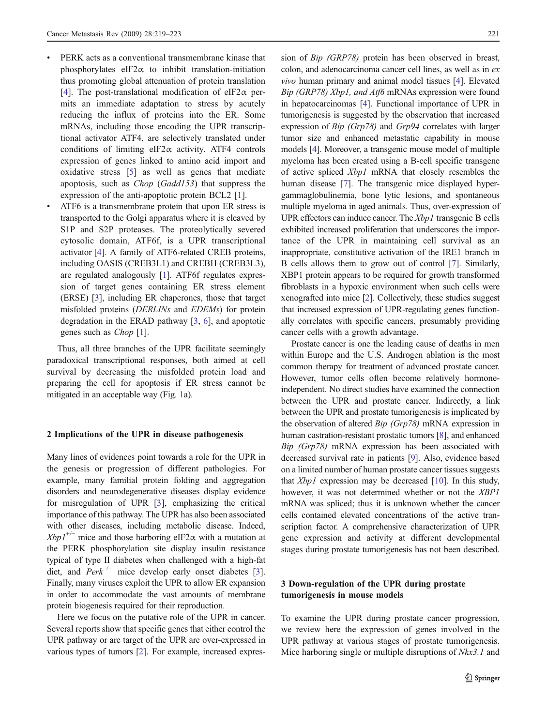- PERK acts as a conventional transmembrane kinase that phosphorylates eIF2 $\alpha$  to inhibit translation-initiation thus promoting global attenuation of protein translation [\[4](#page-4-0)]. The post-translational modification of eIF2 $\alpha$  permits an immediate adaptation to stress by acutely reducing the influx of proteins into the ER. Some mRNAs, including those encoding the UPR transcriptional activator ATF4, are selectively translated under conditions of limiting eIF2 $\alpha$  activity. ATF4 controls expression of genes linked to amino acid import and oxidative stress [[5\]](#page-4-0) as well as genes that mediate apoptosis, such as Chop (Gadd153) that suppress the expression of the anti-apoptotic protein BCL2 [[1\]](#page-4-0).
- & ATF6 is a transmembrane protein that upon ER stress is transported to the Golgi apparatus where it is cleaved by S1P and S2P proteases. The proteolytically severed cytosolic domain, ATF6f, is a UPR transcriptional activator [[4\]](#page-4-0). A family of ATF6-related CREB proteins, including OASIS (CREB3L1) and CREBH (CREB3L3), are regulated analogously [[1\]](#page-4-0). ATF6f regulates expression of target genes containing ER stress element (ERSE) [\[3](#page-4-0)], including ER chaperones, those that target misfolded proteins (DERLINs and EDEMs) for protein degradation in the ERAD pathway [[3,](#page-4-0) [6](#page-4-0)], and apoptotic genes such as Chop [[1\]](#page-4-0).

Thus, all three branches of the UPR facilitate seemingly paradoxical transcriptional responses, both aimed at cell survival by decreasing the misfolded protein load and preparing the cell for apoptosis if ER stress cannot be mitigated in an acceptable way (Fig. [1](#page-1-0)a).

### 2 Implications of the UPR in disease pathogenesis

Many lines of evidences point towards a role for the UPR in the genesis or progression of different pathologies. For example, many familial protein folding and aggregation disorders and neurodegenerative diseases display evidence for misregulation of UPR [[3\]](#page-4-0), emphasizing the critical importance of this pathway. The UPR has also been associated with other diseases, including metabolic disease. Indeed,  $Xbpl^{+/-}$  mice and those harboring eIF2 $\alpha$  with a mutation at the PERK phosphorylation site display insulin resistance typical of type II diabetes when challenged with a high-fat diet, and  $Perk^{-/-}$  mice develop early onset diabetes [[3\]](#page-4-0). Finally, many viruses exploit the UPR to allow ER expansion in order to accommodate the vast amounts of membrane protein biogenesis required for their reproduction.

Here we focus on the putative role of the UPR in cancer. Several reports show that specific genes that either control the UPR pathway or are target of the UPR are over-expressed in various types of tumors [\[2](#page-4-0)]. For example, increased expression of Bip (GRP78) protein has been observed in breast, colon, and adenocarcinoma cancer cell lines, as well as in ex vivo human primary and animal model tissues [[4](#page-4-0)]. Elevated Bip (GRP78) Xbp1, and Atf6 mRNAs expression were found in hepatocarcinomas [\[4](#page-4-0)]. Functional importance of UPR in tumorigenesis is suggested by the observation that increased expression of Bip (Grp78) and Grp94 correlates with larger tumor size and enhanced metastatic capability in mouse models [\[4\]](#page-4-0). Moreover, a transgenic mouse model of multiple myeloma has been created using a B-cell specific transgene of active spliced Xbp1 mRNA that closely resembles the human disease [\[7](#page-4-0)]. The transgenic mice displayed hypergammaglobulinemia, bone lytic lesions, and spontaneous multiple myeloma in aged animals. Thus, over-expression of UPR effectors can induce cancer. The Xbp1 transgenic B cells exhibited increased proliferation that underscores the importance of the UPR in maintaining cell survival as an inappropriate, constitutive activation of the IRE1 branch in B cells allows them to grow out of control [\[7\]](#page-4-0). Similarly, XBP1 protein appears to be required for growth transformed fibroblasts in a hypoxic environment when such cells were xenografted into mice [[2\]](#page-4-0). Collectively, these studies suggest that increased expression of UPR-regulating genes functionally correlates with specific cancers, presumably providing cancer cells with a growth advantage.

Prostate cancer is one the leading cause of deaths in men within Europe and the U.S. Androgen ablation is the most common therapy for treatment of advanced prostate cancer. However, tumor cells often become relatively hormoneindependent. No direct studies have examined the connection between the UPR and prostate cancer. Indirectly, a link between the UPR and prostate tumorigenesis is implicated by the observation of altered Bip (Grp78) mRNA expression in human castration-resistant prostatic tumors [\[8](#page-4-0)], and enhanced Bip (Grp78) mRNA expression has been associated with decreased survival rate in patients [\[9](#page-4-0)]. Also, evidence based on a limited number of human prostate cancer tissues suggests that Xbp1 expression may be decreased [\[10](#page-4-0)]. In this study, however, it was not determined whether or not the XBP1 mRNA was spliced; thus it is unknown whether the cancer cells contained elevated concentrations of the active transcription factor. A comprehensive characterization of UPR gene expression and activity at different developmental stages during prostate tumorigenesis has not been described.

## 3 Down-regulation of the UPR during prostate tumorigenesis in mouse models

To examine the UPR during prostate cancer progression, we review here the expression of genes involved in the UPR pathway at various stages of prostate tumorigenesis. Mice harboring single or multiple disruptions of  $Nkx3.1$  and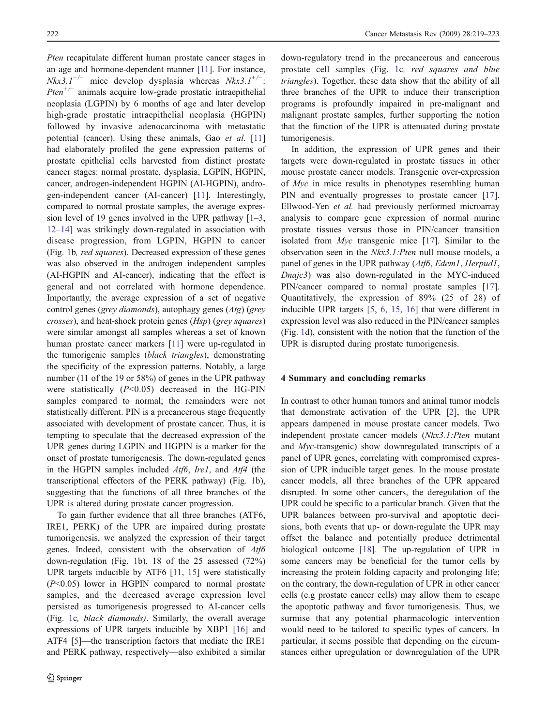Pten recapitulate different human prostate cancer stages in an age and hormone-dependent manner [\[11\]](#page-4-0). For instance,  $Nkx3.1^{-/-}$  mice develop dysplasia whereas  $Nkx3.1^{+/-}$ : *Pten*<sup>+/−</sup> animals acquire low-grade prostatic intraepithelial neoplasia (LGPIN) by 6 months of age and later develop high-grade prostatic intraepithelial neoplasia (HGPIN) followed by invasive adenocarcinoma with metastatic potential (cancer). Using these animals, Gao et al. [\[11\]](#page-4-0) had elaborately profiled the gene expression patterns of prostate epithelial cells harvested from distinct prostate cancer stages: normal prostate, dysplasia, LGPIN, HGPIN, cancer, androgen-independent HGPIN (AI-HGPIN), androgen-independent cancer (AI-cancer) [[11\]](#page-4-0). Interestingly, compared to normal prostate samples, the average expres-sion level of [1](#page-4-0)9 genes involved in the UPR pathway  $[1-3]$ , [12](#page-4-0)–[14\]](#page-4-0) was strikingly down-regulated in association with disease progression, from LGPIN, HGPIN to cancer (Fig. [1b](#page-1-0), red squares). Decreased expression of these genes was also observed in the androgen independent samples (AI-HGPIN and AI-cancer), indicating that the effect is general and not correlated with hormone dependence. Importantly, the average expression of a set of negative control genes (grey diamonds), autophagy genes (Atg) (grey crosses), and heat-shock protein genes (Hsp) (grey squares) were similar amongst all samples whereas a set of known human prostate cancer markers [[11](#page-4-0)] were up-regulated in the tumorigenic samples (black triangles), demonstrating the specificity of the expression patterns. Notably, a large number (11 of the 19 or 58%) of genes in the UPR pathway were statistically  $(P<0.05)$  decreased in the HG-PIN samples compared to normal; the remainders were not statistically different. PIN is a precancerous stage frequently associated with development of prostate cancer. Thus, it is tempting to speculate that the decreased expression of the UPR genes during LGPIN and HGPIN is a marker for the onset of prostate tumorigenesis. The down-regulated genes in the HGPIN samples included Atf6, Ire1, and Atf4 (the transcriptional effectors of the PERK pathway) (Fig. [1](#page-1-0)b), suggesting that the functions of all three branches of the UPR is altered during prostate cancer progression.

To gain further evidence that all three branches (ATF6, IRE1, PERK) of the UPR are impaired during prostate tumorigenesis, we analyzed the expression of their target genes. Indeed, consistent with the observation of Atf6 down-regulation (Fig. [1](#page-1-0)b), 18 of the 25 assessed (72%) UPR targets inducible by ATF6 [\[11](#page-4-0), [15](#page-4-0)] were statistically  $(P<0.05)$  lower in HGPIN compared to normal prostate samples, and the decreased average expression level persisted as tumorigenesis progressed to AI-cancer cells (Fig. [1c](#page-1-0), black diamonds). Similarly, the overall average expressions of UPR targets inducible by XBP1 [\[16](#page-4-0)] and ATF4 [[5\]](#page-4-0)—the transcription factors that mediate the IRE1 and PERK pathway, respectively—also exhibited a similar down-regulatory trend in the precancerous and cancerous prostate cell samples (Fig. [1c](#page-1-0), red squares and blue triangles). Together, these data show that the ability of all three branches of the UPR to induce their transcription programs is profoundly impaired in pre-malignant and malignant prostate samples, further supporting the notion that the function of the UPR is attenuated during prostate tumorigenesis.

In addition, the expression of UPR genes and their targets were down-regulated in prostate tissues in other mouse prostate cancer models. Transgenic over-expression of Myc in mice results in phenotypes resembling human PIN and eventually progresses to prostate cancer [[17\]](#page-4-0). Ellwood-Yen et al. had previously performed microarray analysis to compare gene expression of normal murine prostate tissues versus those in PIN/cancer transition isolated from Myc transgenic mice [\[17](#page-4-0)]. Similar to the observation seen in the Nkx3.1:Pten null mouse models, a panel of genes in the UPR pathway (Atf6, Edem1, Herpud1, Dnajc3) was also down-regulated in the MYC-induced PIN/cancer compared to normal prostate samples [[17\]](#page-4-0). Quantitatively, the expression of 89% (25 of 28) of inducible UPR targets [\[5](#page-4-0), [6](#page-4-0), [15,](#page-4-0) [16](#page-4-0)] that were different in expression level was also reduced in the PIN/cancer samples (Fig. [1](#page-1-0)d), consistent with the notion that the function of the UPR is disrupted during prostate tumorigenesis.

# 4 Summary and concluding remarks

In contrast to other human tumors and animal tumor models that demonstrate activation of the UPR [\[2](#page-4-0)], the UPR appears dampened in mouse prostate cancer models. Two independent prostate cancer models (Nkx3.1:Pten mutant and Myc-transgenic) show downregulated transcripts of a panel of UPR genes, correlating with compromised expression of UPR inducible target genes. In the mouse prostate cancer models, all three branches of the UPR appeared disrupted. In some other cancers, the deregulation of the UPR could be specific to a particular branch. Given that the UPR balances between pro-survival and apoptotic decisions, both events that up- or down-regulate the UPR may offset the balance and potentially produce detrimental biological outcome [[18\]](#page-4-0). The up-regulation of UPR in some cancers may be beneficial for the tumor cells by increasing the protein folding capacity and prolonging life; on the contrary, the down-regulation of UPR in other cancer cells (e.g prostate cancer cells) may allow them to escape the apoptotic pathway and favor tumorigenesis. Thus, we surmise that any potential pharmacologic intervention would need to be tailored to specific types of cancers. In particular, it seems possible that depending on the circumstances either upregulation or downregulation of the UPR